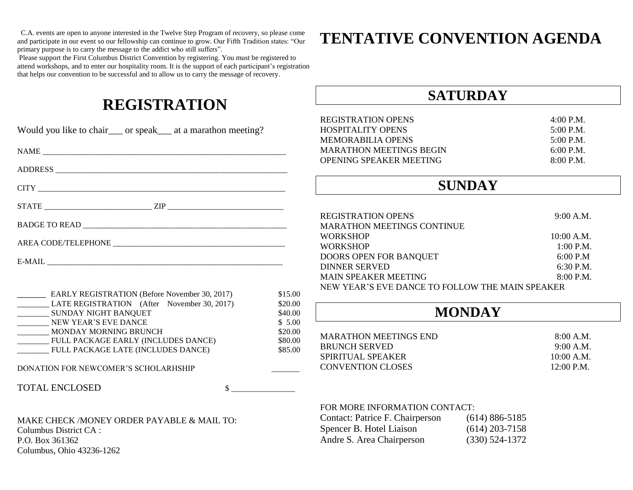C.A. events are open to anyone interested in the Twelve Step Program of recovery, so please come and participate in our event so our fellowship can continue to grow. Our Fifth Tradition states: "Our primary purpose is to carry the message to the addict who still suffers".

Please support the First Columbus District Convention by registering. You must be registered to attend workshops, and to enter our hospitality room. It is the support of each participant's registration that helps our convention to be successful and to allow us to carry the message of recovery.

### **REGISTRATION**

|                                                                                |                    | <b>REGISTRATION OPENS</b>                       |                    | 4:00 P.M.    |
|--------------------------------------------------------------------------------|--------------------|-------------------------------------------------|--------------------|--------------|
| Would you like to chair___ or speak___ at a marathon meeting?                  |                    | <b>HOSPITALITY OPENS</b>                        |                    | 5:00 P.M.    |
|                                                                                |                    | <b>MEMORABILIA OPENS</b>                        |                    | 5:00 P.M.    |
|                                                                                |                    | <b>MARATHON MEETINGS BEGIN</b>                  |                    | 6:00 P.M.    |
|                                                                                |                    | OPENING SPEAKER MEETING                         |                    | 8:00 P.M.    |
|                                                                                |                    |                                                 |                    |              |
|                                                                                |                    | <b>SUNDAY</b>                                   |                    |              |
|                                                                                |                    |                                                 |                    |              |
|                                                                                |                    | <b>REGISTRATION OPENS</b>                       |                    | 9:00 A.M.    |
|                                                                                |                    | <b>MARATHON MEETINGS CONTINUE</b>               |                    |              |
|                                                                                |                    | <b>WORKSHOP</b>                                 |                    | 10:00 A.M.   |
|                                                                                |                    | <b>WORKSHOP</b>                                 |                    | $1:00$ P.M.  |
|                                                                                |                    | DOORS OPEN FOR BANQUET                          |                    | 6:00 P.M     |
|                                                                                |                    | <b>DINNER SERVED</b>                            |                    | 6:30 P.M.    |
|                                                                                |                    | <b>MAIN SPEAKER MEETING</b>                     |                    | 8:00 P.M.    |
|                                                                                |                    | NEW YEAR'S EVE DANCE TO FOLLOW THE MAIN SPEAKER |                    |              |
| <b>EARLY REGISTRATION (Before November 30, 2017)</b>                           | \$15.00<br>\$20.00 |                                                 |                    |              |
| LATE REGISTRATION (After November 30, 2017)<br>__________ SUNDAY NIGHT BANQUET | \$40.00            | <b>MONDAY</b>                                   |                    |              |
| NEW YEAR'S EVE DANCE                                                           | \$5.00             |                                                 |                    |              |
| _________ MONDAY MORNING BRUNCH                                                | \$20.00            |                                                 |                    |              |
| __________ FULL PACKAGE EARLY (INCLUDES DANCE)                                 | \$80.00            | <b>MARATHON MEETINGS END</b>                    |                    | 8:00 A.M.    |
| <b>FULL PACKAGE LATE (INCLUDES DANCE)</b>                                      | \$85.00            | <b>BRUNCH SERVED</b>                            |                    | 9:00 A.M.    |
|                                                                                |                    | SPIRITUAL SPEAKER                               |                    | $10:00$ A.M. |
| DONATION FOR NEWCOMER'S SCHOLARHSHIP                                           |                    | <b>CONVENTION CLOSES</b>                        |                    | 12:00 P.M.   |
| <b>TOTAL ENCLOSED</b><br>$\sim$                                                |                    |                                                 |                    |              |
|                                                                                |                    | FOR MORE INFORMATION CONTACT:                   |                    |              |
| MAKE CHECK /MONEY ORDER PAYABLE & MAIL TO:                                     |                    | Contact: Patrice F. Chairperson                 | $(614) 886 - 5185$ |              |
| Columbus District CA:                                                          |                    | Spencer B. Hotel Liaison                        | $(614)$ 203-7158   |              |
| P.O. Box 361362                                                                |                    | Andre S. Area Chairperson                       | $(330) 524 - 1372$ |              |
|                                                                                |                    |                                                 |                    |              |

Columbus, Ohio 43236-1262

## **TENTATIVE CONVENTION AGENDA**

**SATURDAY**